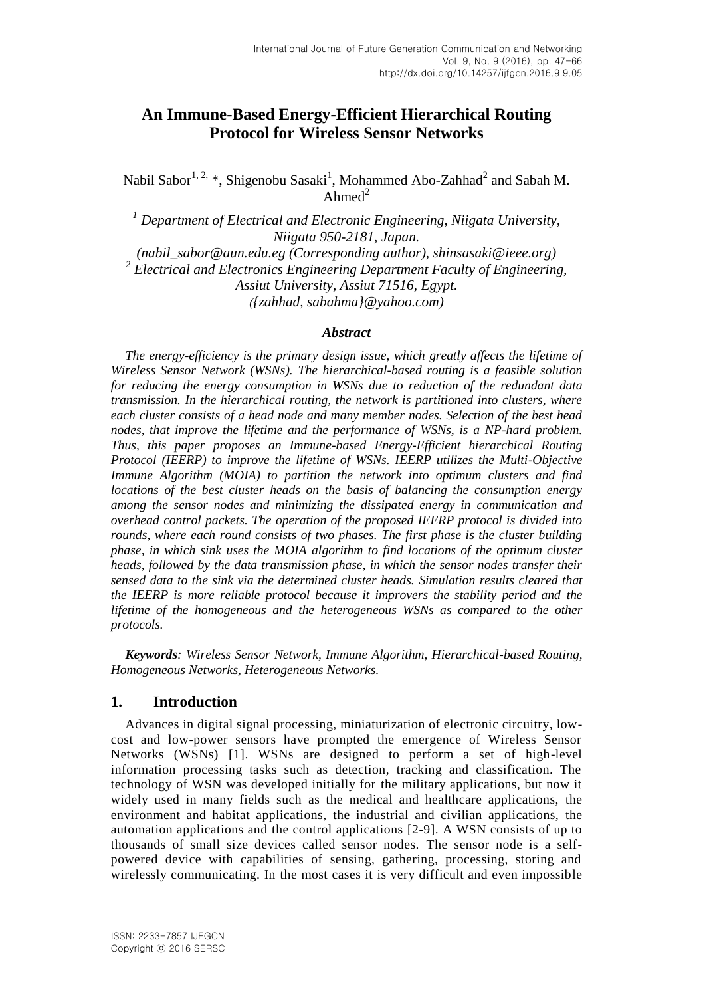# **An Immune-Based Energy-Efficient Hierarchical Routing Protocol for Wireless Sensor Networks**

Nabil Sabor $^{1, 2, *}$ , Shigenobu Sasaki<sup>1</sup>, Mohammed Abo-Zahhad<sup>2</sup> and Sabah M. Ahmed $^2$ 

*<sup>1</sup> Department of Electrical and Electronic Engineering, Niigata University, Niigata 950-2181, Japan.* 

*(nabil\_sabor@aun.edu.eg (Corresponding author), shinsasaki@ieee.org) 2 Electrical and Electronics Engineering Department Faculty of Engineering, Assiut University, Assiut 71516, Egypt. ({zahhad, sabahma}@yahoo.com)*

#### *Abstract*

*The energy-efficiency is the primary design issue, which greatly affects the lifetime of Wireless Sensor Network (WSNs). The hierarchical-based routing is a feasible solution for reducing the energy consumption in WSNs due to reduction of the redundant data transmission. In the hierarchical routing, the network is partitioned into clusters, where each cluster consists of a head node and many member nodes. Selection of the best head nodes, that improve the lifetime and the performance of WSNs, is a NP-hard problem. Thus, this paper proposes an Immune-based Energy-Efficient hierarchical Routing Protocol (IEERP) to improve the lifetime of WSNs. IEERP utilizes the Multi-Objective Immune Algorithm (MOIA) to partition the network into optimum clusters and find locations of the best cluster heads on the basis of balancing the consumption energy among the sensor nodes and minimizing the dissipated energy in communication and overhead control packets. The operation of the proposed IEERP protocol is divided into rounds, where each round consists of two phases. The first phase is the cluster building phase, in which sink uses the MOIA algorithm to find locations of the optimum cluster heads, followed by the data transmission phase, in which the sensor nodes transfer their sensed data to the sink via the determined cluster heads. Simulation results cleared that the IEERP is more reliable protocol because it improvers the stability period and the lifetime of the homogeneous and the heterogeneous WSNs as compared to the other protocols.*

*Keywords: Wireless Sensor Network, Immune Algorithm, Hierarchical-based Routing, Homogeneous Networks, Heterogeneous Networks.*

## **1. Introduction**

Advances in digital signal processing, miniaturization of electronic circuitry, lowcost and low-power sensors have prompted the emergence of Wireless Sensor Networks (WSNs) [\[1\]](#page-17-0). WSNs are designed to perform a set of high-level information processing tasks such as detection, tracking and classification. The technology of WSN was developed initially for the military applications, but now it widely used in many fields such as the medical and healthcare applications, the environment and habitat applications, the industrial and civilian applications, the automation applications and the control applications [\[2-9\]](#page-17-1). A WSN consists of up to thousands of small size devices called sensor nodes. The sensor node is a selfpowered device with capabilities of sensing, gathering, processing, storing and wirelessly communicating. In the most cases it is very difficult and even impossible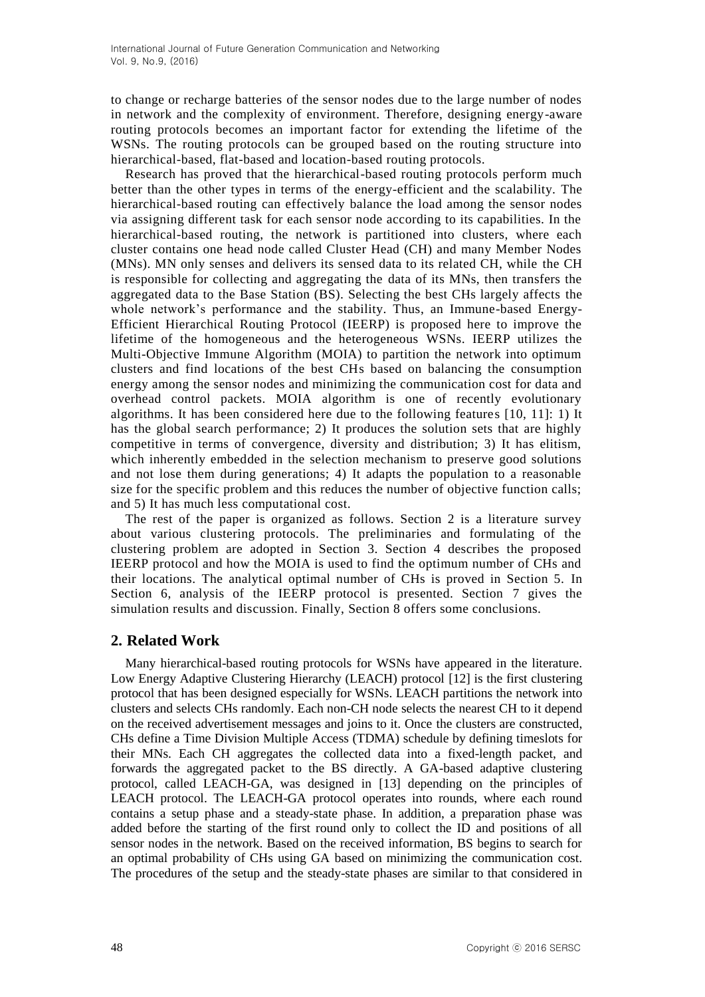to change or recharge batteries of the sensor nodes due to the large number of nodes in network and the complexity of environment. Therefore, designing energy-aware routing protocols becomes an important factor for extending the lifetime of the WSNs. The routing protocols can be grouped based on the routing structure into hierarchical-based, flat-based and location-based routing protocols.

Research has proved that the hierarchical-based routing protocols perform much better than the other types in terms of the energy-efficient and the scalability. The hierarchical-based routing can effectively balance the load among the sensor nodes via assigning different task for each sensor node according to its capabilities. In the hierarchical-based routing, the network is partitioned into clusters, where each cluster contains one head node called Cluster Head (CH) and many Member Nodes (MNs). MN only senses and delivers its sensed data to its related CH, while the CH is responsible for collecting and aggregating the data of its MNs, then transfers the aggregated data to the Base Station (BS). Selecting the best CHs largely affects the whole network's performance and the stability. Thus, an Immune-based Energy-Efficient Hierarchical Routing Protocol (IEERP) is proposed here to improve the lifetime of the homogeneous and the heterogeneous WSNs. IEERP utilizes the Multi-Objective Immune Algorithm (MOIA) to partition the network into optimum clusters and find locations of the best CHs based on balancing the consumption energy among the sensor nodes and minimizing the communication cost for data and overhead control packets. MOIA algorithm is one of recently evolutionary algorithms. It has been considered here due to the following features [\[10,](#page-17-2) [11\]](#page-17-3): 1) It has the global search performance; 2) It produces the solution sets that are highly competitive in terms of convergence, diversity and distribution; 3) It has elitism, which inherently embedded in the selection mechanism to preserve good solutions and not lose them during generations; 4) It adapts the population to a reasonable size for the specific problem and this reduces the number of objective function calls; and 5) It has much less computational cost.

The rest of the paper is organized as follows. Section 2 is a literature survey about various clustering protocols. The preliminaries and formulating of the clustering problem are adopted in Section 3. Section 4 describes the proposed IEERP protocol and how the MOIA is used to find the optimum number of CHs and their locations. The analytical optimal number of CHs is proved in Section 5. In Section 6, analysis of the IEERP protocol is presented. Section 7 gives the simulation results and discussion. Finally, Section 8 offers some conclusions.

## **2. Related Work**

Many hierarchical-based routing protocols for WSNs have appeared in the literature. Low Energy Adaptive Clustering Hierarchy (LEACH) protocol [\[12\]](#page-17-4) is the first clustering protocol that has been designed especially for WSNs. LEACH partitions the network into clusters and selects CHs randomly. Each non-CH node selects the nearest CH to it depend on the received advertisement messages and joins to it. Once the clusters are constructed, CHs define a Time Division Multiple Access (TDMA) schedule by defining timeslots for their MNs. Each CH aggregates the collected data into a fixed-length packet, and forwards the aggregated packet to the BS directly. A GA-based adaptive clustering protocol, called LEACH-GA, was designed in [\[13\]](#page-17-5) depending on the principles of LEACH protocol. The LEACH-GA protocol operates into rounds, where each round contains a setup phase and a steady-state phase. In addition, a preparation phase was added before the starting of the first round only to collect the ID and positions of all sensor nodes in the network. Based on the received information, BS begins to search for an optimal probability of CHs using GA based on minimizing the communication cost. The procedures of the setup and the steady-state phases are similar to that considered in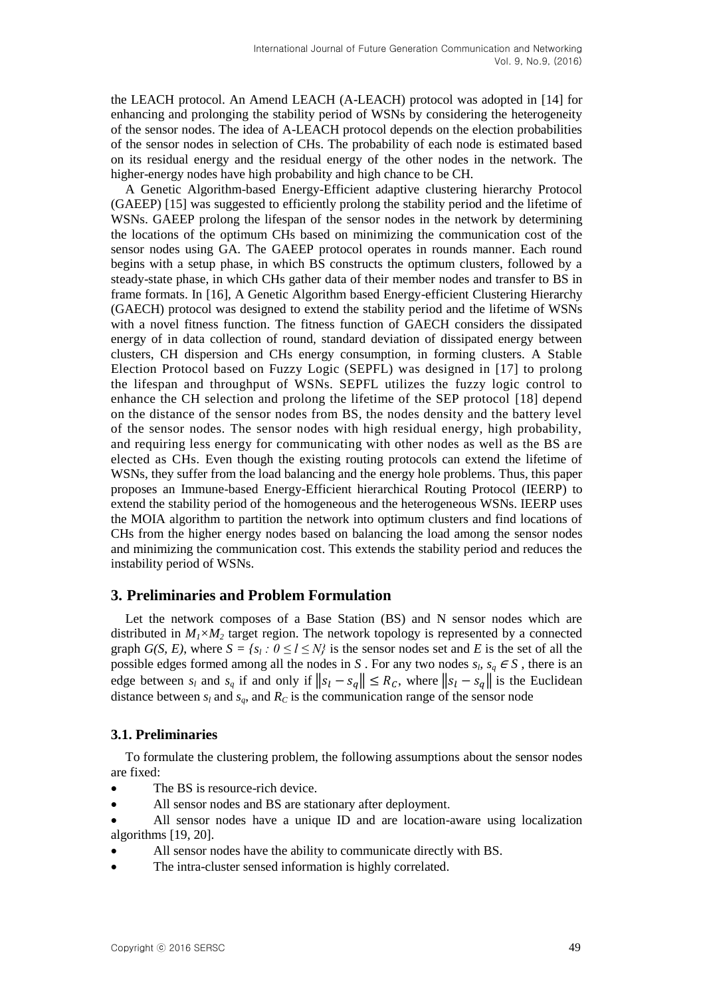the LEACH protocol. An Amend LEACH (A-LEACH) protocol was adopted in [\[14\]](#page-17-6) for enhancing and prolonging the stability period of WSNs by considering the heterogeneity of the sensor nodes. The idea of A-LEACH protocol depends on the election probabilities of the sensor nodes in selection of CHs. The probability of each node is estimated based on its residual energy and the residual energy of the other nodes in the network. The higher-energy nodes have high probability and high chance to be CH.

A Genetic Algorithm-based Energy-Efficient adaptive clustering hierarchy Protocol (GAEEP) [\[15\]](#page-17-7) was suggested to efficiently prolong the stability period and the lifetime of WSNs. GAEEP prolong the lifespan of the sensor nodes in the network by determining the locations of the optimum CHs based on minimizing the communication cost of the sensor nodes using GA. The GAEEP protocol operates in rounds manner. Each round begins with a setup phase, in which BS constructs the optimum clusters, followed by a steady-state phase, in which CHs gather data of their member nodes and transfer to BS in frame formats. In [\[16\]](#page-18-0), A Genetic Algorithm based Energy-efficient Clustering Hierarchy (GAECH) protocol was designed to extend the stability period and the lifetime of WSNs with a novel fitness function. The fitness function of GAECH considers the dissipated energy of in data collection of round, standard deviation of dissipated energy between clusters, CH dispersion and CHs energy consumption, in forming clusters. A Stable Election Protocol based on Fuzzy Logic (SEPFL) was designed in [\[17\]](#page-18-1) to prolong the lifespan and throughput of WSNs. SEPFL utilizes the fuzzy logic control to enhance the CH selection and prolong the lifetime of the SEP protocol [\[18\]](#page-18-2) depend on the distance of the sensor nodes from BS, the nodes density and the battery level of the sensor nodes. The sensor nodes with high residual energy, high probability, and requiring less energy for communicating with other nodes as well as the BS a re elected as CHs. Even though the existing routing protocols can extend the lifetime of WSNs, they suffer from the load balancing and the energy hole problems. Thus, this paper proposes an Immune-based Energy-Efficient hierarchical Routing Protocol (IEERP) to extend the stability period of the homogeneous and the heterogeneous WSNs. IEERP uses the MOIA algorithm to partition the network into optimum clusters and find locations of CHs from the higher energy nodes based on balancing the load among the sensor nodes and minimizing the communication cost. This extends the stability period and reduces the instability period of WSNs.

## **3. Preliminaries and Problem Formulation**

Let the network composes of a Base Station (BS) and N sensor nodes which are distributed in  $M_1 \times M_2$  target region. The network topology is represented by a connected graph *G(S, E)*, where  $S = \{s_i : 0 \leq l \leq N\}$  is the sensor nodes set and *E* is the set of all the possible edges formed among all the nodes in *S*. For any two nodes  $s_b$ ,  $s_q \in S$ , there is an edge between  $s_l$  and  $s_q$  if and only if  $||s_l - s_q|| \le R_c$ , where  $||s_l - s_q||$  is the Euclidean distance between  $s_l$  and  $s_q$ , and  $R_c$  is the communication range of the sensor node

## **3.1. Preliminaries**

To formulate the clustering problem, the following assumptions about the sensor nodes are fixed:

- The BS is resource-rich device.
- All sensor nodes and BS are stationary after deployment.
- All sensor nodes have a unique ID and are location-aware using localization algorithms [\[19,](#page-18-3) [20\]](#page-18-4).
- All sensor nodes have the ability to communicate directly with BS.
- The intra-cluster sensed information is highly correlated.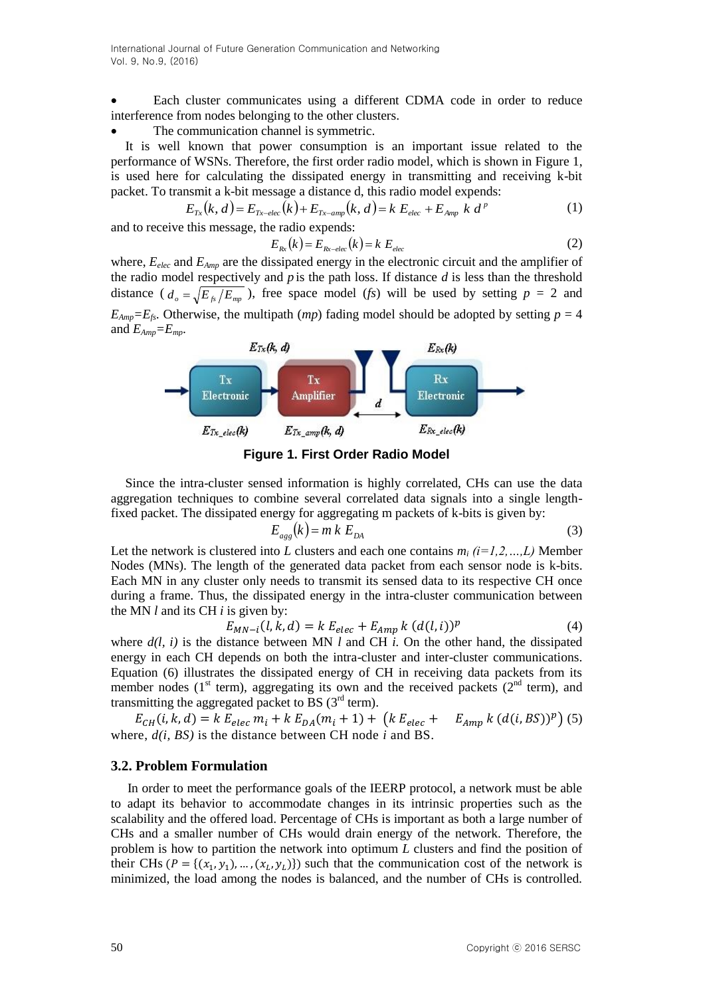Each cluster communicates using a different CDMA code in order to reduce interference from nodes belonging to the other clusters.

#### The communication channel is symmetric.

It is well known that power consumption is an important issue related to the performance of WSNs. Therefore, the first order radio model, which is shown in Figure 1, is used here for calculating the dissipated energy in transmitting and receiving k-bit packet. To transmit a k-bit message a distance d, this radio model expends:

$$
E_{Tx}(k, d) = E_{Tx - elec}(k) + E_{Tx - amp}(k, d) = k E_{elec} + E_{Amp} k d^{p}
$$
 (1)

and to receive this message, the radio expends:

$$
E_{Rx}(k) = E_{Rx - elec}(k) = k E_{elec}
$$
 (2)

where,  $E_{elec}$  and  $E_{Amp}$  are the dissipated energy in the electronic circuit and the amplifier of the radio model respectively and *p* is the path loss. If distance *d* is less than the threshold distance  $(d_o = \sqrt{E_{fs}/E_{mp}})$ , free space model (*fs*) will be used by setting  $p = 2$  and  $E_{Amp} = E_f$ . Otherwise, the multipath (*mp*) fading model should be adopted by setting  $p = 4$ and *EAmp=Emp*.





Since the intra-cluster sensed information is highly correlated, CHs can use the data aggregation techniques to combine several correlated data signals into a single lengthfixed packet. The dissipated energy for aggregating m packets of k-bits is given by:

$$
E_{\rm agg}(k) = m k E_{\rm DA} \tag{3}
$$

Let the network is clustered into *L* clusters and each one contains  $m_i$   $(i=1,2,...,L)$  Member Nodes (MNs). The length of the generated data packet from each sensor node is k-bits. Each MN in any cluster only needs to transmit its sensed data to its respective CH once during a frame. Thus, the dissipated energy in the intra-cluster communication between the MN *l* and its CH *i* is given by:

$$
E_{MN-i}(l, k, d) = k E_{elec} + E_{Amp} k (d(l, i))^p
$$
\n(4)

where  $d(l, i)$  is the distance between MN *l* and CH *i*. On the other hand, the dissipated energy in each CH depends on both the intra-cluster and inter-cluster communications. Equation (6) illustrates the dissipated energy of CH in receiving data packets from its member nodes ( $1<sup>st</sup>$  term), aggregating its own and the received packets ( $2<sup>nd</sup>$  term), and transmitting the aggregated packet to BS  $(3<sup>rd</sup>$  term).

 $E_{CH}(i, k, d) = k E_{elec} m_i + k E_{DA}(m_i + 1) + (k E_{elec} + E_{Amp} k (d(i, BS))^p)$  (5) where, *d(i, BS)* is the distance between CH node *i* and BS.

#### **3.2. Problem Formulation**

In order to meet the performance goals of the IEERP protocol, a network must be able to adapt its behavior to accommodate changes in its intrinsic properties such as the scalability and the offered load. Percentage of CHs is important as both a large number of CHs and a smaller number of CHs would drain energy of the network. Therefore, the problem is how to partition the network into optimum *L* clusters and find the position of their CHs ( $P = \{(x_1, y_1), ..., (x_L, y_L)\}\)$  such that the communication cost of the network is minimized, the load among the nodes is balanced, and the number of CHs is controlled.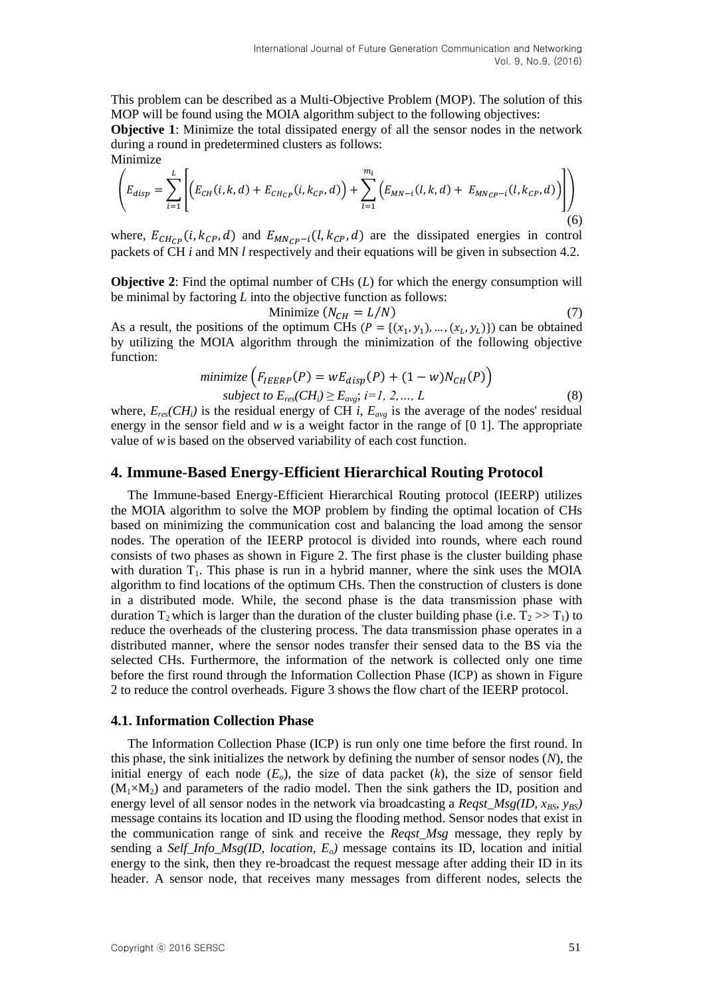This problem can be described as a Multi-Objective Problem (MOP). The solution of this MOP will be found using the MOIA algorithm subject to the following objectives:

**Objective 1**: Minimize the total dissipated energy of all the sensor nodes in the network during a round in predetermined clusters as follows:

Minimize  

$$
\left( E_{disp} = \sum_{i=1}^{L} \left[ \left( E_{CH}(i,k,d) + E_{CH_{CP}}(i,k_{CP},d) \right) + \sum_{l=1}^{m_i} \left( E_{MN-l}(l,k,d) + E_{MN_{CP}-i}(l,k_{CP},d) \right) \right] \right)
$$
(6)

where,  $E_{CH_{CP}}(i, k_{CP}, d)$  and  $E_{MNeq}$ -i(l,  $k_{CP}$ , d) are the dissipated energies in control packets of CH *i* and MN *l* respectively and their equations will be given in subsection 4.2.

**Objective 2:** Find the optimal number of CHs (*L*) for which the energy consumption will be minimal by factoring *L* into the objective function as follows:

Minimize  $(N_{CH} = L/N)$  (7) As a result, the positions of the optimum CHs  $(P = \{(x_1, y_1), ..., (x_L, y_L)\})$  can be obtained by utilizing the MOIA algorithm through the minimization of the following objective function:

$$
minimize \left(F_{IEERP}(P) = wE_{disp}(P) + (1 - w)N_{CH}(P)\right)
$$
  
subject to  $E_{res}(CH_i) \ge E_{avg}$ ;  $i = 1, 2, ..., L$  (8)

where,  $E_{res}(CH_i)$  is the residual energy of CH *i*,  $E_{avg}$  is the average of the nodes' residual energy in the sensor field and *w* is a weight factor in the range of [0 1]. The appropriate value of *w*is based on the observed variability of each cost function.

#### **4. Immune-Based Energy-Efficient Hierarchical Routing Protocol**

The Immune-based Energy-Efficient Hierarchical Routing protocol (IEERP) utilizes the MOIA algorithm to solve the MOP problem by finding the optimal location of CHs based on minimizing the communication cost and balancing the load among the sensor nodes. The operation of the IEERP protocol is divided into rounds, where each round consists of two phases as shown in Figure 2. The first phase is the cluster building phase with duration  $T_1$ . This phase is run in a hybrid manner, where the sink uses the MOIA algorithm to find locations of the optimum CHs. Then the construction of clusters is done in a distributed mode. While, the second phase is the data transmission phase with duration  $T_2$  which is larger than the duration of the cluster building phase (i.e.  $T_2 >> T_1$ ) to reduce the overheads of the clustering process. The data transmission phase operates in a distributed manner, where the sensor nodes transfer their sensed data to the BS via the selected CHs. Furthermore, the information of the network is collected only one time before the first round through the Information Collection Phase (ICP) as shown in Figure 2 to reduce the control overheads. Figure 3 shows the flow chart of the IEERP protocol.

#### **4.1. Information Collection Phase**

The Information Collection Phase (ICP) is run only one time before the first round. In this phase, the sink initializes the network by defining the number of sensor nodes (*N*), the initial energy of each node  $(E_o)$ , the size of data packet  $(k)$ , the size of sensor field  $(M_1\times M_2)$  and parameters of the radio model. Then the sink gathers the ID, position and energy level of all sensor nodes in the network via broadcasting a *Reqst*  $Msg(ID, x_{BS}, y_{BS})$ message contains its location and ID using the flooding method. Sensor nodes that exist in the communication range of sink and receive the *Reqst\_Msg* message, they reply by sending a *Self\_Info\_Msg(ID, location, Eo)* message contains its ID, location and initial energy to the sink, then they re-broadcast the request message after adding their ID in its header. A sensor node, that receives many messages from different nodes, selects the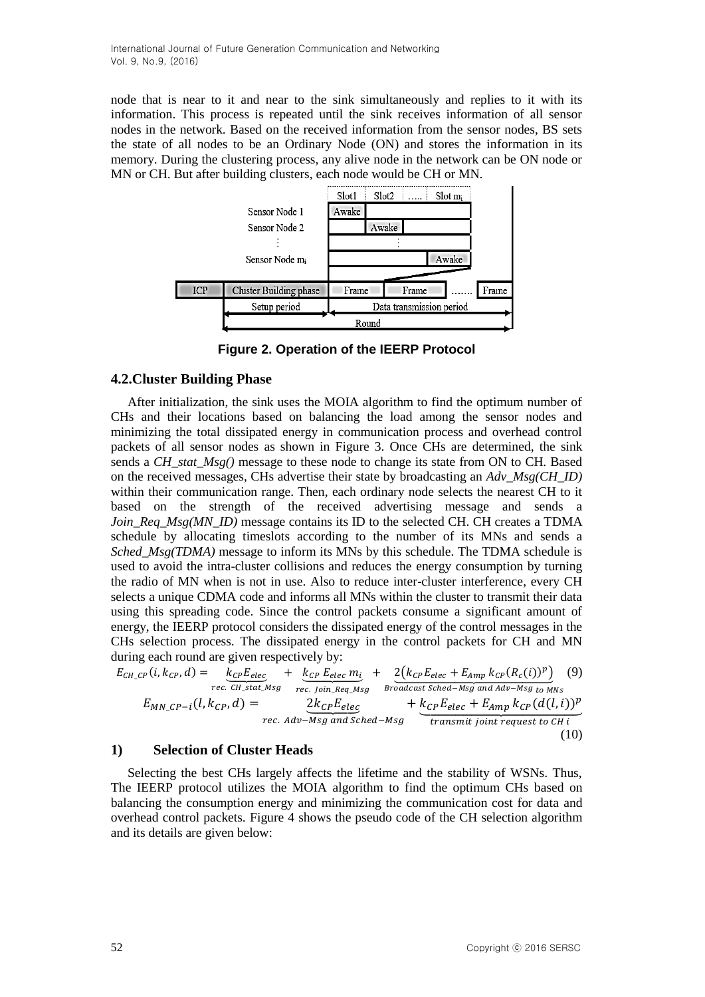node that is near to it and near to the sink simultaneously and replies to it with its information. This process is repeated until the sink receives information of all sensor nodes in the network. Based on the received information from the sensor nodes, BS sets the state of all nodes to be an Ordinary Node (ON) and stores the information in its memory. During the clustering process, any alive node in the network can be ON node or MN or CH. But after building clusters, each node would be CH or MN.



**Figure 2. Operation of the IEERP Protocol**

### **4.2.Cluster Building Phase**

After initialization, the sink uses the MOIA algorithm to find the optimum number of CHs and their locations based on balancing the load among the sensor nodes and minimizing the total dissipated energy in communication process and overhead control packets of all sensor nodes as shown in Figure 3. Once CHs are determined, the sink sends a *CH* stat  $Msg()$  message to these node to change its state from ON to CH. Based on the received messages, CHs advertise their state by broadcasting an *Adv\_Msg(CH\_ID)* within their communication range. Then, each ordinary node selects the nearest CH to it based on the strength of the received advertising message and sends a *Join Req Msg(MN ID)* message contains its ID to the selected CH. CH creates a TDMA schedule by allocating timeslots according to the number of its MNs and sends a *Sched Msg(TDMA)* message to inform its MNs by this schedule. The TDMA schedule is used to avoid the intra-cluster collisions and reduces the energy consumption by turning the radio of MN when is not in use. Also to reduce inter-cluster interference, every CH selects a unique CDMA code and informs all MNs within the cluster to transmit their data using this spreading code. Since the control packets consume a significant amount of energy, the IEERP protocol considers the dissipated energy of the control messages in the CHs selection process. The dissipated energy in the control packets for CH and MN during each round are given respectively by:

$$
E_{CH\_CP}(i, k_{CP}, d) = \underbrace{k_{CP}E_{elec}}_{rec. CH\_stat\_MSg} + \underbrace{k_{CP}E_{elec}m_i}_{rec. join\_Req\_MSg} + \underbrace{2(k_{CP}E_{elec} + E_{Amp}k_{CP}(R_c(i))^p)}_{Broadcast \, Sched - Msg \, and \, adv - Msg \, and \, stched - Msg} \tag{9}
$$
\n
$$
E_{MN\_CP - i}(l, k_{CP}, d) = \underbrace{2k_{CP}E_{elec}}_{rec. \, Adv - Msg \, and \, Sched - Msg} + \underbrace{k_{CP}E_{elec} + E_{Amp}k_{CP}(d(l, i))^p}_{transmit \, joint \, request \, to \, CH \, i} \tag{10}
$$

#### **1) Selection of Cluster Heads**

Selecting the best CHs largely affects the lifetime and the stability of WSNs. Thus, The IEERP protocol utilizes the MOIA algorithm to find the optimum CHs based on balancing the consumption energy and minimizing the communication cost for data and overhead control packets. Figure 4 shows the pseudo code of the CH selection algorithm and its details are given below: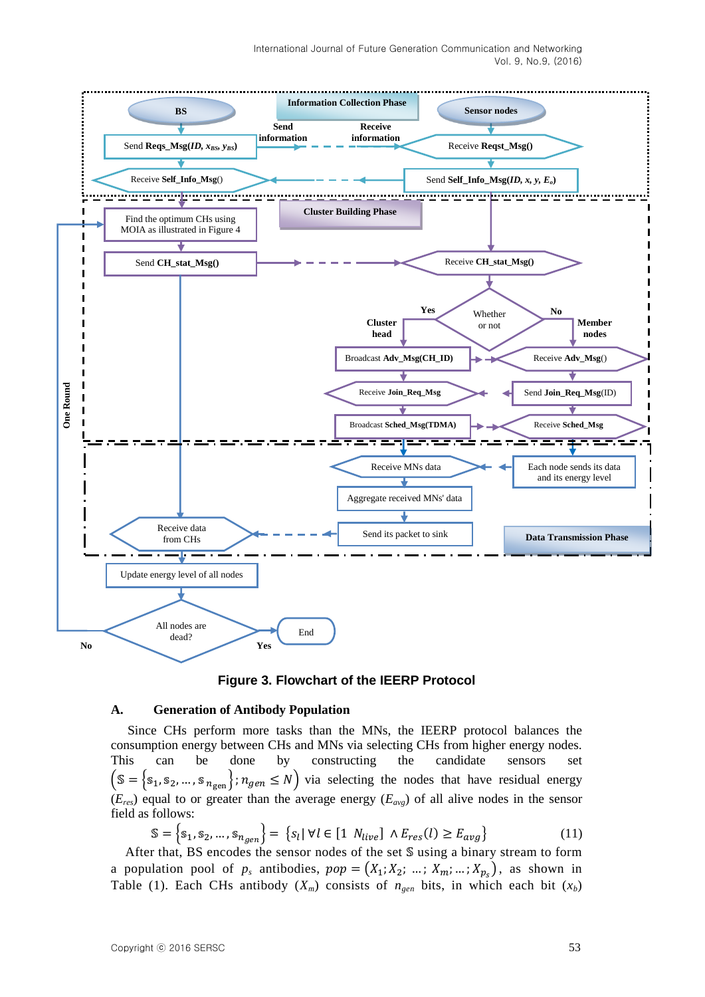



#### **A. Generation of Antibody Population**

Since CHs perform more tasks than the MNs, the IEERP protocol balances the consumption energy between CHs and MNs via selecting CHs from higher energy nodes. This can be done by constructing the candidate sensors set  $\mathcal{S} = \{s_1, s_2, ..., s_{n_{gen}}\}$ ;  $n_{gen} \leq N$ ) via selecting the nodes that have residual energy (*Eres*) equal to or greater than the average energy (*Eavg*) of all alive nodes in the sensor field as follows:

$$
\mathbb{S} = \left\{ \mathbb{s}_1, \mathbb{s}_2, \dots, \mathbb{s}_{n_{gen}} \right\} = \left\{ \mathbb{s}_l \, | \, \forall l \in [1 \, N_{live}] \land E_{res}(l) \ge E_{avg} \right\} \tag{11}
$$

After that, BS encodes the sensor nodes of the set  $\mathcal S$  using a binary stream to form a population pool of  $p_s$  antibodies,  $pop = (X_1; X_2; \dots; X_m; \dots; X_{p_s})$ , as shown in Table (1). Each CHs antibody  $(X_m)$  consists of  $n_{gen}$  bits, in which each bit  $(x_b)$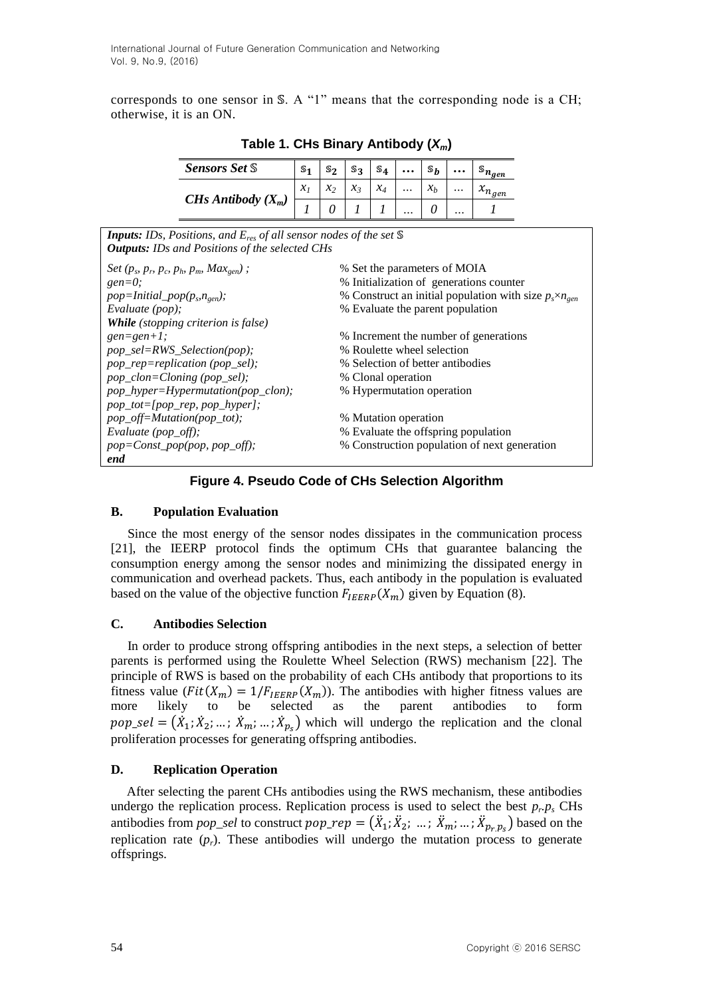corresponds to one sensor in  $S$ . A "1" means that the corresponding node is a CH; otherwise, it is an ON.

| <b>Sensors Set S</b>                                                                                                                                                                                                                                                                                                                                                | S <sub>1</sub> | $\mathbb{S}_2$    | $\mathbb{S}_3$ | $S_4$ | $\ddotsc$ | $\mathbb{S}_{\bm{b}}$ |          | $\mathbb{S}_{n_{\underline{gen}}}$ |  |
|---------------------------------------------------------------------------------------------------------------------------------------------------------------------------------------------------------------------------------------------------------------------------------------------------------------------------------------------------------------------|----------------|-------------------|----------------|-------|-----------|-----------------------|----------|------------------------------------|--|
| CHs Antibody $(X_m)$                                                                                                                                                                                                                                                                                                                                                |                | $\mathcal{X}_{2}$ | $x_3$          | $x_4$ | .         | x <sub>b</sub>        | $\cdots$ | $x_{n_{gen}}$                      |  |
|                                                                                                                                                                                                                                                                                                                                                                     |                | 0                 |                |       |           | $\theta$              |          |                                    |  |
| <b>Inputs:</b> IDs, Positions, and $E_{res}$ of all sensor nodes of the set $\mathbb S$<br><b>Outputs:</b> IDs and Positions of the selected CHs                                                                                                                                                                                                                    |                |                   |                |       |           |                       |          |                                    |  |
| % Set the parameters of MOIA<br><i>Set</i> $(p_s, p_r, p_c, p_h, p_m, Max_{gen})$ ;<br>% Initialization of generations counter<br>$gen=0;$<br>% Construct an initial population with size $p_s \times n_{gen}$<br>$pop=Initial\_pop(p_s, n_{gen});$<br>% Evaluate the parent population<br>Evaluate $(pop)$ ;                                                       |                |                   |                |       |           |                       |          |                                    |  |
| <b>While</b> (stopping criterion is false)<br>$gen = gen + 1$ ;<br>% Increment the number of generations<br>% Roulette wheel selection<br>pop_sel=RWS_Selection(pop);<br>pop_rep=replication (pop_sel);<br>% Selection of better antibodies<br>pop_clon=Cloning (pop_sel);<br>% Clonal operation<br>pop_hyper=Hypermutation(pop_clon);<br>% Hypermutation operation |                |                   |                |       |           |                       |          |                                    |  |
| $pop\_tot=[pop\_rep, pop\_hyper];$<br>pop_off=Mutation(pop_tot);<br>% Mutation operation<br>Evaluate (pop_off);<br>% Evaluate the offspring population<br>% Construction population of next generation<br>$pop = Const\_pop(pop, pop\_off);$<br>end                                                                                                                 |                |                   |                |       |           |                       |          |                                    |  |

**Table 1. CHs Binary Antibody (***Xm***)**

## **Figure 4. Pseudo Code of CHs Selection Algorithm**

#### **B. Population Evaluation**

Since the most energy of the sensor nodes dissipates in the communication process [\[21\]](#page-18-5), the IEERP protocol finds the optimum CHs that guarantee balancing the consumption energy among the sensor nodes and minimizing the dissipated energy in communication and overhead packets. Thus, each antibody in the population is evaluated based on the value of the objective function  $F_{IEERP}(X_m)$  given by Equation (8).

## **C. Antibodies Selection**

In order to produce strong offspring antibodies in the next steps, a selection of better parents is performed using the Roulette Wheel Selection (RWS) mechanism [\[22\]](#page-18-6). The principle of RWS is based on the probability of each CHs antibody that proportions to its fitness value ( $Fit(X_m) = 1/F_{IEEEP}(X_m)$ ). The antibodies with higher fitness values are more likely to be selected as the parent antibodies to form  $pop\_sel = (\dot{X}_1, \dot{X}_2, \dots, \dot{X}_m, \dots, \dot{X}_{p_s})$  which will undergo the replication and the clonal proliferation processes for generating offspring antibodies.

## **D. Replication Operation**

After selecting the parent CHs antibodies using the RWS mechanism, these antibodies undergo the replication process. Replication process is used to select the best  $p_r p_s$  CHs antibodies from *pop\_sel* to construct  $pop\_rep = (\ddot{X}_1, \ddot{X}_2, \ldots, \ddot{X}_m, \ldots, \ddot{X}_{p_r, p_s})$  based on the replication rate  $(p_r)$ . These antibodies will undergo the mutation process to generate offsprings.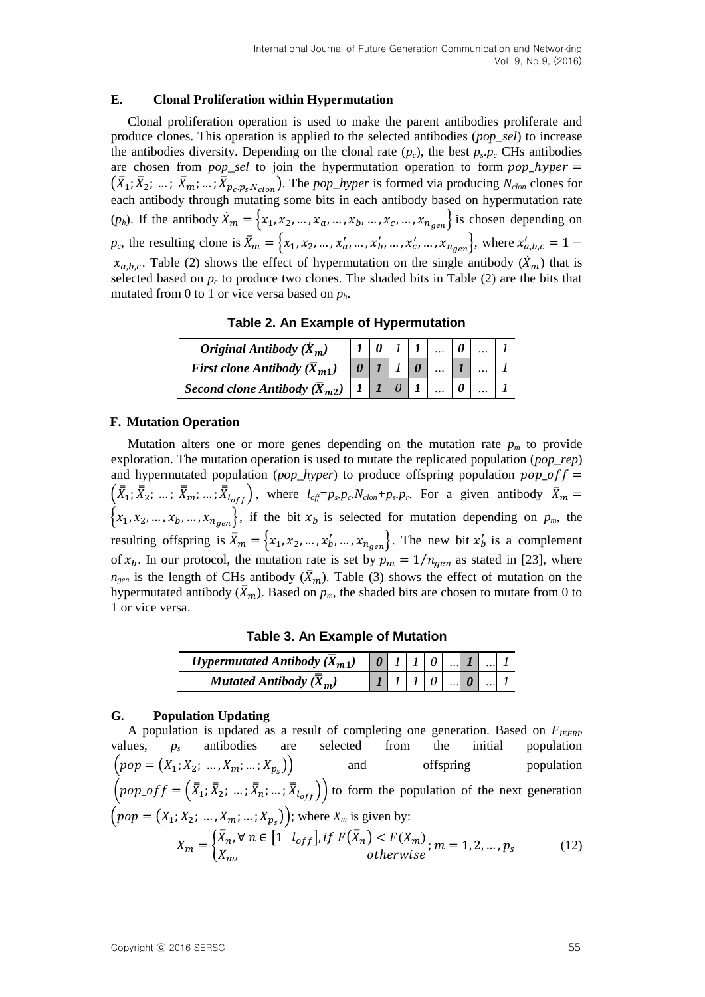#### **E. Clonal Proliferation within Hypermutation**

Clonal proliferation operation is used to make the parent antibodies proliferate and produce clones. This operation is applied to the selected antibodies (*pop\_sel*) to increase the antibodies diversity. Depending on the clonal rate  $(p_c)$ , the best  $p_s p_c$  CHs antibodies are chosen from *pop\_sel* to join the hypermutation operation to form *pop\_hyper* =  $(\bar{X}_1; \bar{X}_2; \dots; \bar{X}_m; \dots; \bar{X}_{p_c, p_s, N_{clon}})$ . The *pop\_hyper* is formed via producing  $N_{clon}$  clones for each antibody through mutating some bits in each antibody based on hypermutation rate  $(p_h)$ . If the antibody  $\dot{X}_m = \{x_1, x_2, ..., x_a, ..., x_b, ..., x_c, ..., x_{n_{gen}}\}$  is chosen depending on  $p_c$ , the resulting clone is  $\bar{X}_m = \{x_1, x_2, ..., x'_a, ..., x'_b, ..., x'_{c}, ..., x_{n_{gen}}\}$ , where  $x'_c$  $x_{a,b,c}$ . Table (2) shows the effect of hypermutation on the single antibody  $(\dot{X}_m)$  that is selected based on  $p_c$  to produce two clones. The shaded bits in Table (2) are the bits that mutated from 0 to 1 or vice versa based on *ph*.

**Table 2. An Example of Hypermutation**

| Original Antibody $(\dot{X}_m)$             |  |  |  |  |
|---------------------------------------------|--|--|--|--|
| First clone Antibody $(X_{m1})$             |  |  |  |  |
| Second clone Antibody $(\overline{X}_{m2})$ |  |  |  |  |

### **F. Mutation Operation**

Mutation alters one or more genes depending on the mutation rate  $p_m$  to provide exploration. The mutation operation is used to mutate the replicated population (*pop\_rep*) and hypermutated population ( $pop\_hyper$ ) to produce offspring population  $pop\_off =$  $(\bar{\bar{X}}_1, \bar{\bar{X}}_2, \dots, \bar{\bar{X}}_{m}, \dots, \bar{\bar{X}}_{l_{off}})$ , where  $l_{off} = p_s$ ,  $p_c$ ,  $N_{clon} + p_s$ ,  $p_r$ . For a given antibody  $\bar{X}_m$  $\{x_1, x_2, ..., x_b, ..., x_{ngen}\}\$ , if the bit  $x_b$  is selected for mutation depending on  $p_m$ , the resulting offspring is  $\bar{X}_m = \{x_1, x_2, ..., x_b, ..., x_{n_{gen}}\}$ . The new bit  $x'_b$  is a complement of  $x_b$ . In our protocol, the mutation rate is set by  $p_m = 1/n_{gen}$  as stated in [\[23\]](#page-18-7), where  $n_{gen}$  is the length of CHs antibody  $(\bar{X}_m)$ . Table (3) shows the effect of mutation on the hypermutated antibody  $(\bar{X}_m)$ . Based on  $p_m$ , the shaded bits are chosen to mutate from 0 to 1 or vice versa.

**Table 3. An Example of Mutation**

| Hypermutated Antibody $(\overline{X}_{m1})$ |  |  |  |  |
|---------------------------------------------|--|--|--|--|
| <b>Mutated Antibody</b> $(\overline{X}_m)$  |  |  |  |  |

#### **G. Population Updating**

A population is updated as a result of completing one generation. Based on  $F_{IEERP}$ values, *p<sup>s</sup>* antibodies are selected from the initial population  $\left( pop = (X_1; X_2; ..., X_m; ...; X_{p_s}) \right)$ and offspring population  $\left( pop\_off = (\bar{\bar{X}}_1; \bar{\bar{X}}_2; ...; \bar{\bar{X}}_{n}; ...; \bar{\bar{X}}_{left}) \right)$  to form the population of the next generation  $(pop = (X_1; X_2; ..., X_m; ..., X_{p_s}))$ ; where  $X_m$  is given by:  $X_m = \begin{cases} \overline{\overline{X}}_n, \forall n \in \left[1 \mid l_{off}\right], \text{if } F(\overline{\overline{X}}_n) < F(X_m) \\ \vdots & \vdots \end{cases}$  $\boldsymbol{X}$ ; (12)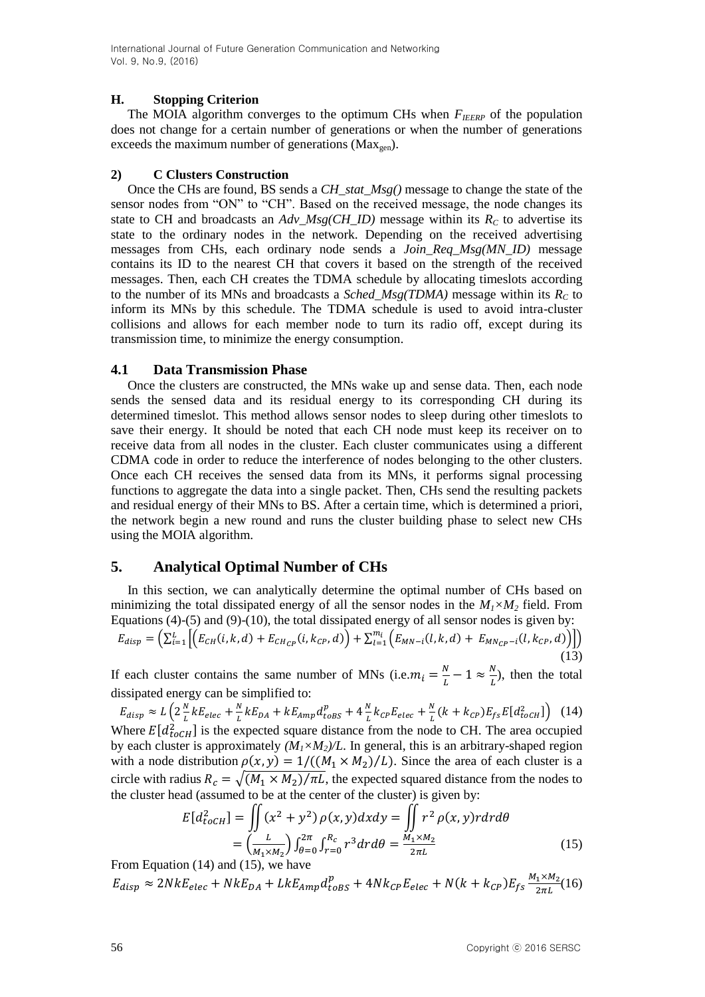### **H. Stopping Criterion**

The MOIA algorithm converges to the optimum CHs when  $F_{IEEE}$  of the population does not change for a certain number of generations or when the number of generations exceeds the maximum number of generations ( $Max<sub>gen</sub>$ ).

### **2) C Clusters Construction**

Once the CHs are found, BS sends a *CH\_stat\_Msg()* message to change the state of the sensor nodes from "ON" to "CH". Based on the received message, the node changes its state to CH and broadcasts an  $Adv\_Msg(CH\_ID)$  message within its  $R_C$  to advertise its state to the ordinary nodes in the network. Depending on the received advertising messages from CHs, each ordinary node sends a *Join\_Req\_Msg(MN\_ID)* message contains its ID to the nearest CH that covers it based on the strength of the received messages. Then, each CH creates the TDMA schedule by allocating timeslots according to the number of its MNs and broadcasts a *Sched\_Msg(TDMA)* message within its  $R<sub>C</sub>$  to inform its MNs by this schedule. The TDMA schedule is used to avoid intra-cluster collisions and allows for each member node to turn its radio off, except during its transmission time, to minimize the energy consumption.

### **4.1 Data Transmission Phase**

Once the clusters are constructed, the MNs wake up and sense data. Then, each node sends the sensed data and its residual energy to its corresponding CH during its determined timeslot. This method allows sensor nodes to sleep during other timeslots to save their energy. It should be noted that each CH node must keep its receiver on to receive data from all nodes in the cluster. Each cluster communicates using a different CDMA code in order to reduce the interference of nodes belonging to the other clusters. Once each CH receives the sensed data from its MNs, it performs signal processing functions to aggregate the data into a single packet. Then, CHs send the resulting packets and residual energy of their MNs to BS. After a certain time, which is determined a priori, the network begin a new round and runs the cluster building phase to select new CHs using the MOIA algorithm.

## **5. Analytical Optimal Number of CHs**

In this section, we can analytically determine the optimal number of CHs based on minimizing the total dissipated energy of all the sensor nodes in the  $M_1 \times M_2$  field. From Equations (4)-(5) and (9)-(10), the total dissipated energy of all sensor nodes is given by:

$$
E_{disp} = \left(\sum_{i=1}^{L} \left[ \left( E_{CH}(i,k,d) + E_{CH_{CP}}(i,k_{CP},d) \right) + \sum_{l=1}^{m_i} \left( E_{MN-i}(l,k,d) + E_{MN_{CP}-i}(l,k_{CP},d) \right) \right] \right) \tag{13}
$$

If each cluster contains the same number of MNs (i.e.  $m_i = \frac{N}{l}$  $\frac{N}{L}-1 \approx \frac{N}{L}$  $\frac{N}{L}$ ), then the total dissipated energy can be simplified to:

 $E_{disp} \approx L\left(2\frac{N}{l}\right)$  $\frac{N}{L}kE_{elec} + \frac{N}{L}$  $\frac{N}{L}kE_{DA} + kE_{Amp}d_{toBS}^p + 4\frac{N}{L}$  $\frac{N}{L}k_{CP}E_{elec} + \frac{N}{L}$  $\frac{N}{L}(k + k_{CP})E_{fs}E[d_{toCH}^2]$  (14) Where  $E[d_{toCH}^2]$  is the expected square distance from the node to CH. The area occupied by each cluster is approximately  $(M_1 \times M_2)/L$ . In general, this is an arbitrary-shaped region with a node distribution  $\rho(x, y) = 1/((M_1 \times M_2)/L)$ . Since the area of each cluster is a circle with radius  $R_c = \sqrt{(M_1 \times M_2)/\pi L}$ , the expected squared distance from the nodes to the cluster head (assumed to be at the center of the cluster) is given by:

$$
E[d_{toCH}^2] = \iint (x^2 + y^2) \rho(x, y) dx dy = \iint r^2 \rho(x, y) r dr d\theta
$$
  
=  $\left(\frac{L}{M_1 \times M_2}\right) \int_{\theta=0}^{2\pi} \int_{r=0}^{R_c} r^3 dr d\theta = \frac{M_1 \times M_2}{2\pi L}$  (15)

From Equation (14) and (15), we have

 $E_{disp} \approx 2NkE_{elec} + NkE_{DA} + LkE_{Amp}d_{t_0RS}^p + 4Nk_{CP}E_{elec} + N(k + k_{CP})E_{fs}^M$  $\frac{1 \times m_2}{2 \pi L} (16)$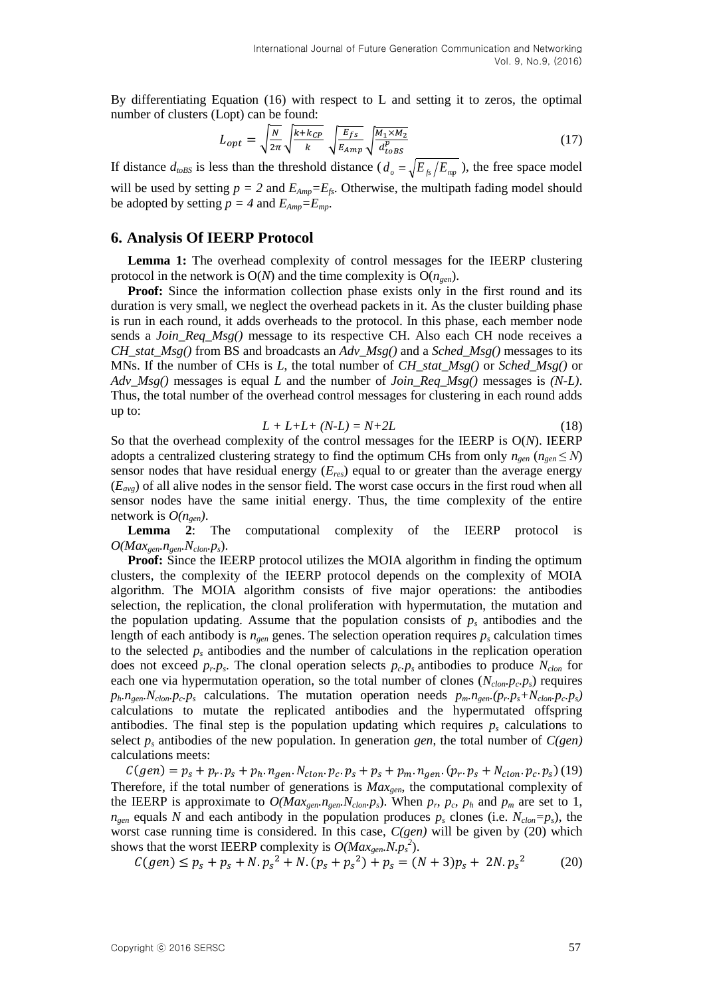By differentiating Equation (16) with respect to L and setting it to zeros, the optimal number of clusters (Lopt) can be found:

$$
L_{opt} = \sqrt{\frac{N}{2\pi}} \sqrt{\frac{k + k_{CP}}{k}} \sqrt{\frac{E_{fs}}{E_{Amp}}} \sqrt{\frac{M_1 \times M_2}{d_{obs}^p}}
$$
(17)

If distance  $d_{\text{toBS}}$  is less than the threshold distance ( $d_o = \sqrt{E_{fs}}/E_{\text{mp}}$ ), the free space model will be used by setting  $p = 2$  and  $E_{Amp} = E_f$ . Otherwise, the multipath fading model should be adopted by setting  $p = 4$  and  $E_{Amp} = E_{mp}$ .

#### **6. Analysis Of IEERP Protocol**

**Lemma 1:** The overhead complexity of control messages for the IEERP clustering protocol in the network is  $O(N)$  and the time complexity is  $O(n_{gen})$ .

**Proof:** Since the information collection phase exists only in the first round and its duration is very small, we neglect the overhead packets in it. As the cluster building phase is run in each round, it adds overheads to the protocol. In this phase, each member node sends a *Join\_Req\_Msg()* message to its respective CH. Also each CH node receives a *CH\_stat\_Msg()* from BS and broadcasts an *Adv\_Msg()* and a *Sched\_Msg()* messages to its MNs. If the number of CHs is *L*, the total number of *CH\_stat\_Msg()* or *Sched\_Msg()* or *Adv\_Msg()* messages is equal *L* and the number of *Join\_Req\_Msg()* messages is *(N-L)*. Thus, the total number of the overhead control messages for clustering in each round adds up to:

$$
L + L + L + (N - L) = N + 2L \tag{18}
$$

So that the overhead complexity of the control messages for the IEERP is O(*N*). IEERP adopts a centralized clustering strategy to find the optimum CHs from only  $n_{gen}$  ( $n_{gen} \leq N$ ) sensor nodes that have residual energy (*Eres*) equal to or greater than the average energy  $(E_{\alpha\nu\rho})$  of all alive nodes in the sensor field. The worst case occurs in the first roud when all sensor nodes have the same initial energy. Thus, the time complexity of the entire network is  $O(n_{gen})$ .

**Lemma 2**: The computational complexity of the IEERP protocol is  $O(Max_{gen}.n_{gen}.N_{clon}.p_s)$ .

**Proof:** Since the IEERP protocol utilizes the MOIA algorithm in finding the optimum clusters, the complexity of the IEERP protocol depends on the complexity of MOIA algorithm. The MOIA algorithm consists of five major operations: the antibodies selection, the replication, the clonal proliferation with hypermutation, the mutation and the population updating. Assume that the population consists of  $p_s$  antibodies and the length of each antibody is  $n_{gen}$  genes. The selection operation requires  $p_s$  calculation times to the selected *p<sup>s</sup>* antibodies and the number of calculations in the replication operation does not exceed  $p_r p_s$ . The clonal operation selects  $p_c p_s$  antibodies to produce  $N_{clon}$  for each one via hypermutation operation, so the total number of clones  $(N_{\text{clon}} p_c p_s)$  requires  $p_h n_{gen} N_{clon} p_c p_s$  calculations. The mutation operation needs  $p_m n_{gen} (p_r p_s + N_{clon} p_c p_s)$ calculations to mutate the replicated antibodies and the hypermutated offspring antibodies. The final step is the population updating which requires  $p_s$  calculations to select  $p<sub>s</sub>$  antibodies of the new population. In generation *gen*, the total number of  $C(gen)$ calculations meets:

 $C(gen) = p_s + p_r \cdot p_s + p_h \cdot n_{gen} \cdot N_{clon} \cdot p_c \cdot p_s + p_s + p_m \cdot n_{gen} \cdot (p_r \cdot p_s + N_{clon} \cdot p_c \cdot p_s)$  (19) Therefore, if the total number of generations is *Maxgen*, the computational complexity of the IEERP is approximate to  $O(Max_{gen} n_{gen} N_{clom} p_s)$ . When  $p_r$ ,  $p_c$ ,  $p_h$  and  $p_m$  are set to 1,  $n_{gen}$  equals *N* and each antibody in the population produces  $p_s$  clones (i.e.  $N_{clon} = p_s$ ), the worst case running time is considered. In this case, *C(gen)* will be given by (20) which shows that the worst IEERP complexity is  $O(Max_{gen}.N.p_s^2)$ .

$$
C(gen) \le p_s + p_s + N.p_s^2 + N.(p_s + p_s^2) + p_s = (N+3)p_s + 2N.p_s^2 \tag{20}
$$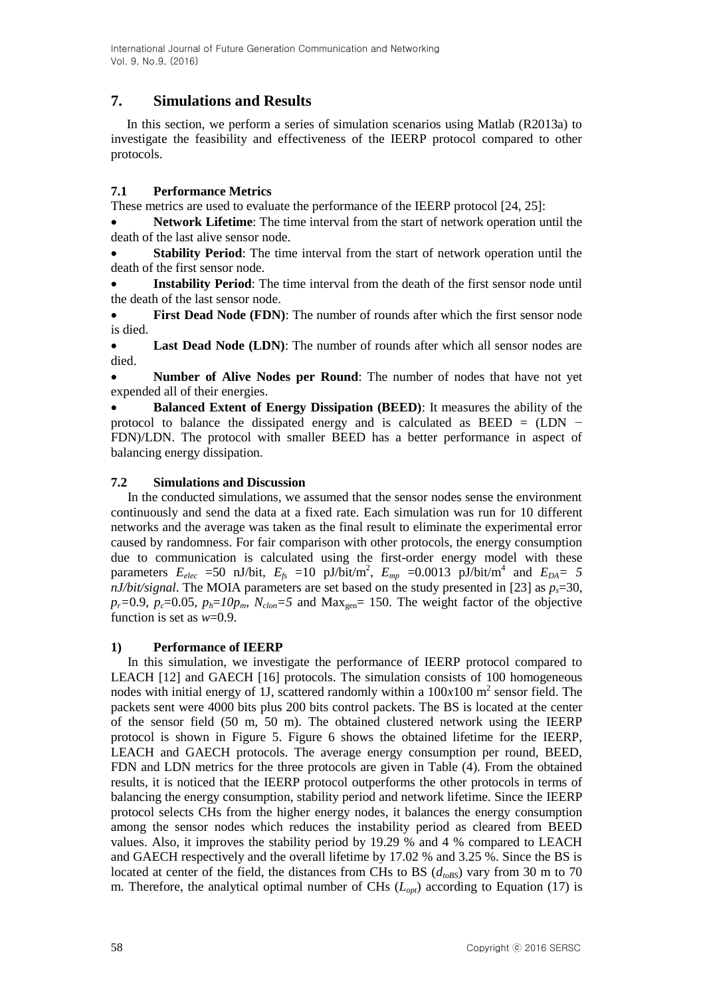## **7. Simulations and Results**

In this section, we perform a series of simulation scenarios using Matlab (R2013a) to investigate the feasibility and effectiveness of the IEERP protocol compared to other protocols.

### **7.1 Performance Metrics**

These metrics are used to evaluate the performance of the IEERP protocol [\[24,](#page-18-8) [25\]](#page-18-9):

 **Network Lifetime**: The time interval from the start of network operation until the death of the last alive sensor node.

 **Stability Period**: The time interval from the start of network operation until the death of the first sensor node.

 **Instability Period**: The time interval from the death of the first sensor node until the death of the last sensor node.

 **First Dead Node (FDN)**: The number of rounds after which the first sensor node is died.

 **Last Dead Node (LDN)**: The number of rounds after which all sensor nodes are died.

 **Number of Alive Nodes per Round**: The number of nodes that have not yet expended all of their energies.

 **Balanced Extent of Energy Dissipation (BEED)**: It measures the ability of the protocol to balance the dissipated energy and is calculated as  $BEED = (LDN -$ FDN)/LDN. The protocol with smaller BEED has a better performance in aspect of balancing energy dissipation.

### **7.2 Simulations and Discussion**

In the conducted simulations, we assumed that the sensor nodes sense the environment continuously and send the data at a fixed rate. Each simulation was run for 10 different networks and the average was taken as the final result to eliminate the experimental error caused by randomness. For fair comparison with other protocols, the energy consumption due to communication is calculated using the first-order energy model with these parameters  $E_{elec}$  =50 nJ/bit,  $E_{fs}$  =10 pJ/bit/m<sup>2</sup>,  $E_{mp}$  =0.0013 pJ/bit/m<sup>4</sup> and  $E_{DA}$ = 5 *nJ/bit/signal*. The MOIA parameters are set based on the study presented in [\[23\]](#page-18-7) as  $p_s$ =30,  $p_r = 0.9$ ,  $p_c = 0.05$ ,  $p_h = 10p_m$ ,  $N_{clon} = 5$  and Max<sub>gen</sub> = 150. The weight factor of the objective function is set as *w*=0.9.

#### **1) Performance of IEERP**

In this simulation, we investigate the performance of IEERP protocol compared to LEACH [\[12\]](#page-17-4) and GAECH [\[16\]](#page-18-0) protocols. The simulation consists of 100 homogeneous nodes with initial energy of 1J, scattered randomly within a  $100x100$  m<sup>2</sup> sensor field. The packets sent were 4000 bits plus 200 bits control packets. The BS is located at the center of the sensor field (50 m, 50 m). The obtained clustered network using the IEERP protocol is shown in Figure 5. Figure 6 shows the obtained lifetime for the IEERP, LEACH and GAECH protocols. The average energy consumption per round, BEED, FDN and LDN metrics for the three protocols are given in Table (4). From the obtained results, it is noticed that the IEERP protocol outperforms the other protocols in terms of balancing the energy consumption, stability period and network lifetime. Since the IEERP protocol selects CHs from the higher energy nodes, it balances the energy consumption among the sensor nodes which reduces the instability period as cleared from BEED values. Also, it improves the stability period by 19.29 % and 4 % compared to LEACH and GAECH respectively and the overall lifetime by 17.02 % and 3.25 %. Since the BS is located at center of the field, the distances from CHs to BS  $(d_{\text{toBS}})$  vary from 30 m to 70 m. Therefore, the analytical optimal number of CHs (*Lopt*) according to Equation (17) is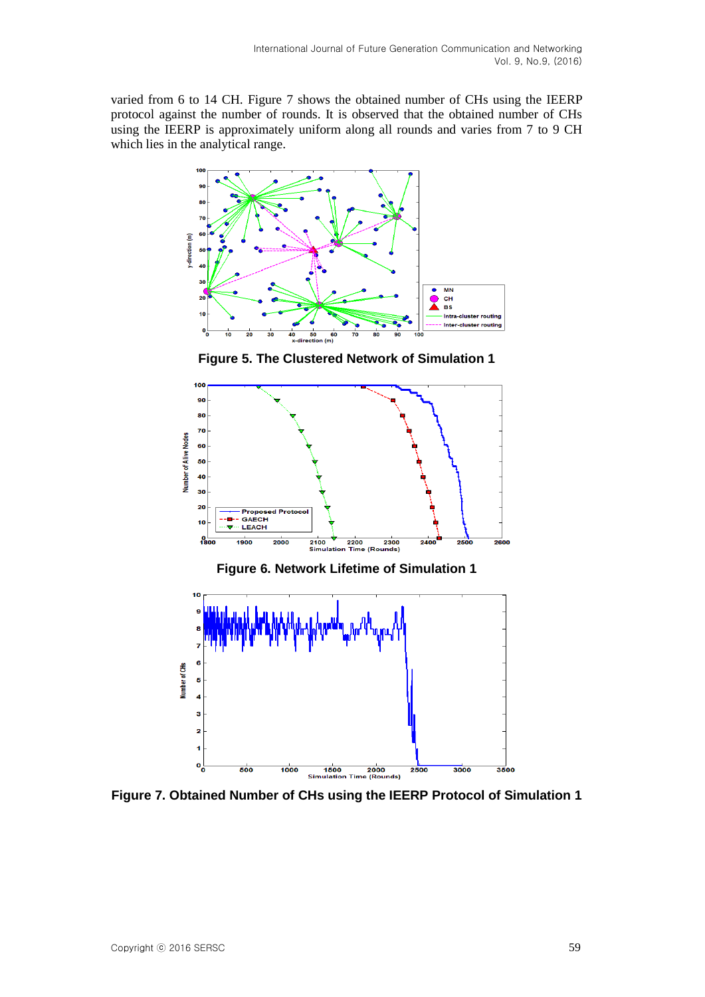varied from 6 to 14 CH. Figure 7 shows the obtained number of CHs using the IEERP protocol against the number of rounds. It is observed that the obtained number of CHs using the IEERP is approximately uniform along all rounds and varies from 7 to 9 CH which lies in the analytical range.



**Figure 5. The Clustered Network of Simulation 1**



**Figure 6. Network Lifetime of Simulation 1**



**Figure 7. Obtained Number of CHs using the IEERP Protocol of Simulation 1**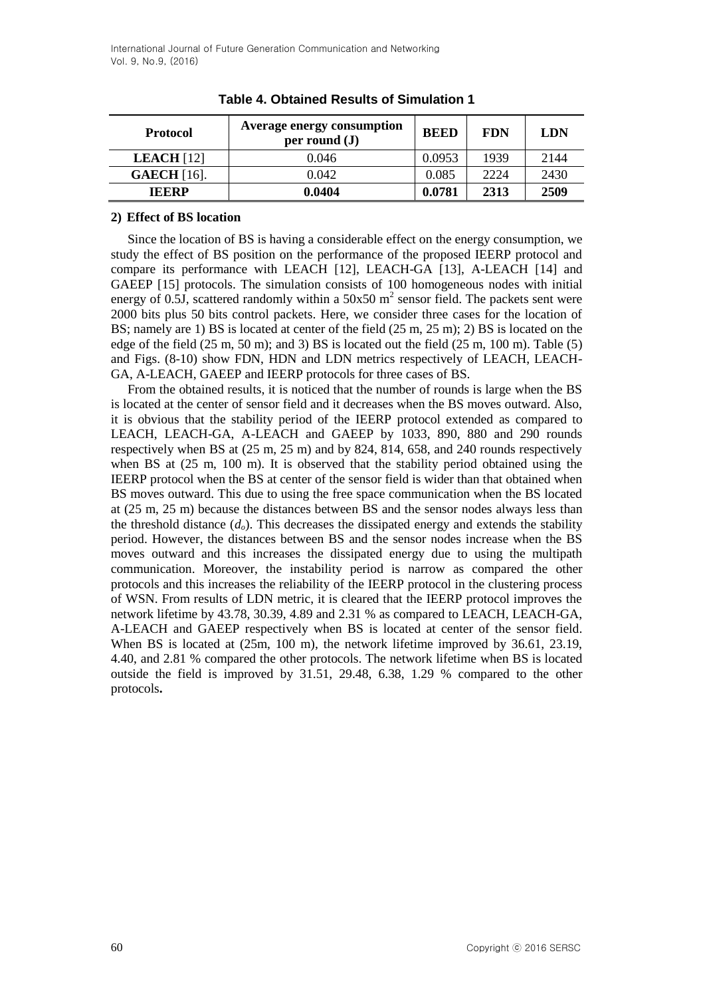| <b>Protocol</b>    | <b>Average energy consumption</b><br>per round $(\mathbf{J})$ | <b>BEED</b> | <b>FDN</b> | LDN  |
|--------------------|---------------------------------------------------------------|-------------|------------|------|
| <b>LEACH</b> [12]  | 0.046                                                         | 0.0953      | 1939       | 2144 |
| <b>GAECH</b> [16]. | 0.042                                                         | 0.085       | 2224       | 2430 |
| <b>IEERP</b>       | 0.0404                                                        | 0.0781      | 2313       | 2509 |

**Table 4. Obtained Results of Simulation 1**

#### **2) Effect of BS location**

Since the location of BS is having a considerable effect on the energy consumption, we study the effect of BS position on the performance of the proposed IEERP protocol and compare its performance with LEACH [\[12\]](#page-17-4), LEACH-GA [\[13\]](#page-17-5), A-LEACH [\[14\]](#page-17-6) and GAEEP [\[15\]](#page-17-7) protocols. The simulation consists of 100 homogeneous nodes with initial energy of 0.5J, scattered randomly within a 50x50  $m^2$  sensor field. The packets sent were 2000 bits plus 50 bits control packets. Here, we consider three cases for the location of BS; namely are 1) BS is located at center of the field (25 m, 25 m); 2) BS is located on the edge of the field (25 m, 50 m); and 3) BS is located out the field (25 m, 100 m). Table (5) and Figs. (8-10) show FDN, HDN and LDN metrics respectively of LEACH, LEACH-GA, A-LEACH, GAEEP and IEERP protocols for three cases of BS.

From the obtained results, it is noticed that the number of rounds is large when the BS is located at the center of sensor field and it decreases when the BS moves outward. Also, it is obvious that the stability period of the IEERP protocol extended as compared to LEACH, LEACH-GA, A-LEACH and GAEEP by 1033, 890, 880 and 290 rounds respectively when BS at (25 m, 25 m) and by 824, 814, 658, and 240 rounds respectively when BS at (25 m, 100 m). It is observed that the stability period obtained using the IEERP protocol when the BS at center of the sensor field is wider than that obtained when BS moves outward. This due to using the free space communication when the BS located at (25 m, 25 m) because the distances between BS and the sensor nodes always less than the threshold distance  $(d<sub>o</sub>)$ . This decreases the dissipated energy and extends the stability period. However, the distances between BS and the sensor nodes increase when the BS moves outward and this increases the dissipated energy due to using the multipath communication. Moreover, the instability period is narrow as compared the other protocols and this increases the reliability of the IEERP protocol in the clustering process of WSN. From results of LDN metric, it is cleared that the IEERP protocol improves the network lifetime by 43.78, 30.39, 4.89 and 2.31 % as compared to LEACH, LEACH-GA, A-LEACH and GAEEP respectively when BS is located at center of the sensor field. When BS is located at (25m, 100 m), the network lifetime improved by 36.61, 23.19, 4.40, and 2.81 % compared the other protocols. The network lifetime when BS is located outside the field is improved by 31.51, 29.48, 6.38, 1.29 % compared to the other protocols**.**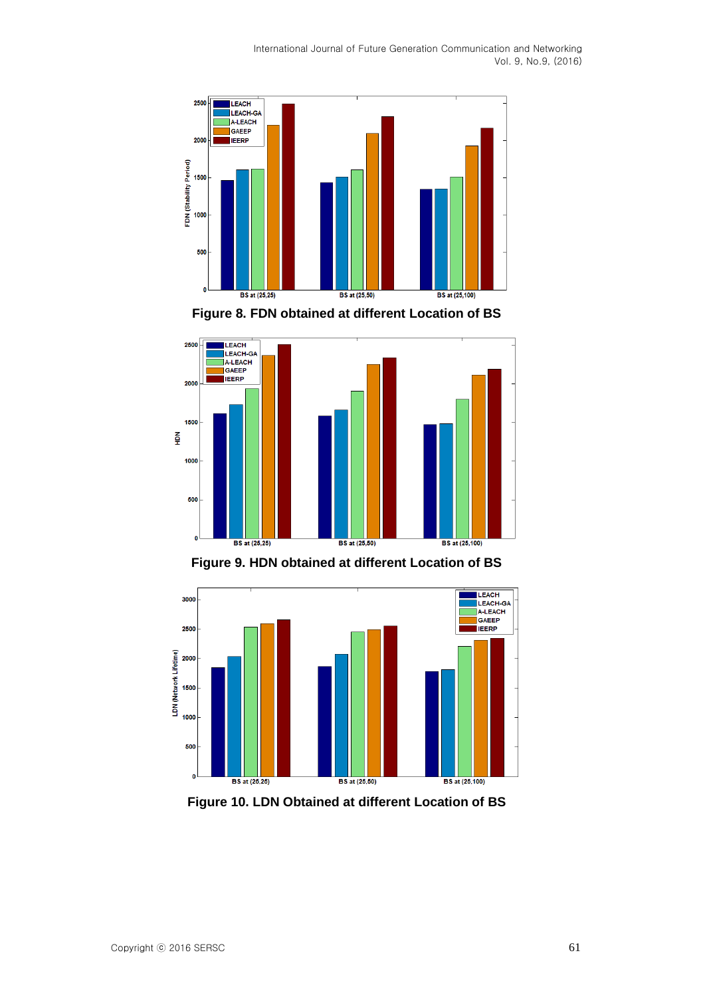





**Figure 9. HDN obtained at different Location of BS**



**Figure 10. LDN Obtained at different Location of BS**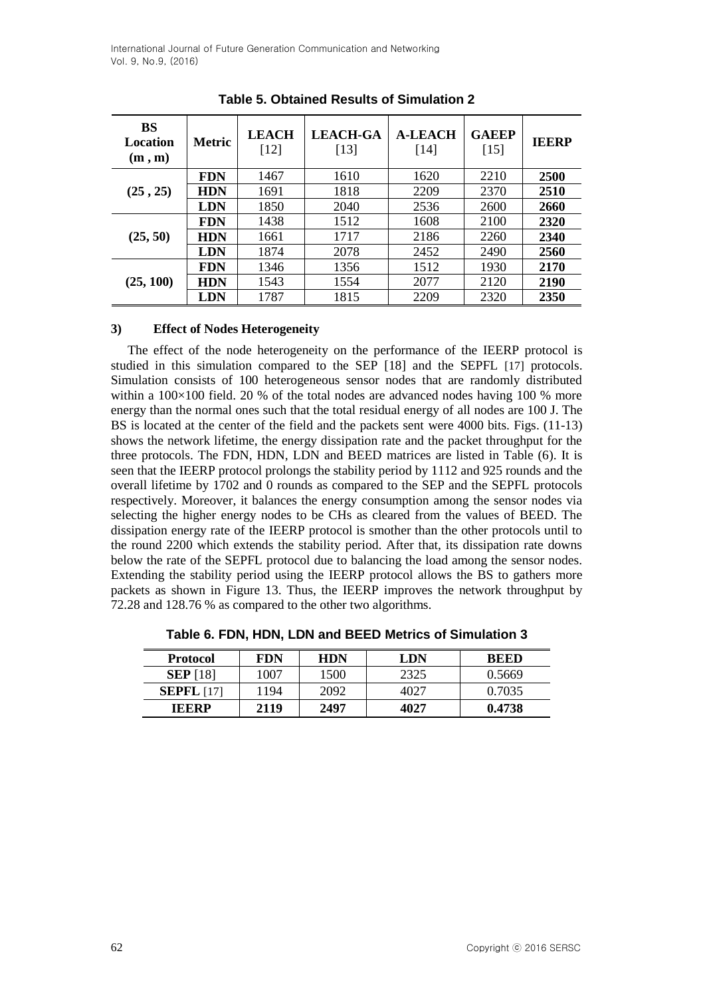| <b>BS</b><br>Location<br>(m, m) | <b>Metric</b> | <b>LEACH</b><br>[12] | <b>LEACH-GA</b><br>[13] | <b>A-LEACH</b><br>$[14]$ | <b>GAEEP</b><br>$[15]$ | <b>IEERP</b> |
|---------------------------------|---------------|----------------------|-------------------------|--------------------------|------------------------|--------------|
|                                 | <b>FDN</b>    | 1467                 | 1610                    | 1620                     | 2210                   | <b>2500</b>  |
| (25, 25)                        | <b>HDN</b>    | 1691                 | 1818                    | 2209                     | 2370                   | 2510         |
|                                 | <b>LDN</b>    | 1850                 | 2040                    | 2536                     | 2600                   | <b>2660</b>  |
|                                 | <b>FDN</b>    | 1438                 | 1512                    | 1608                     | 2100                   | 2320         |
| (25, 50)                        | <b>HDN</b>    | 1661                 | 1717                    | 2186                     | 2260                   | 2340         |
|                                 | <b>LDN</b>    | 1874                 | 2078                    | 2452                     | 2490                   | 2560         |
|                                 | <b>FDN</b>    | 1346                 | 1356                    | 1512                     | 1930                   | 2170         |
| (25, 100)                       | <b>HDN</b>    | 1543                 | 1554                    | 2077                     | 2120                   | 2190         |
|                                 | LDN           | 1787                 | 1815                    | 2209                     | 2320                   | 2350         |

**Table 5. Obtained Results of Simulation 2**

### **3) Effect of Nodes Heterogeneity**

The effect of the node heterogeneity on the performance of the IEERP protocol is studied in this simulation compared to the SEP [\[18\]](#page-18-2) and the SEPFL [\[17\]](#page-18-1) protocols. Simulation consists of 100 heterogeneous sensor nodes that are randomly distributed within a  $100\times100$  field. 20 % of the total nodes are advanced nodes having 100 % more energy than the normal ones such that the total residual energy of all nodes are 100 J. The BS is located at the center of the field and the packets sent were 4000 bits. Figs. (11-13) shows the network lifetime, the energy dissipation rate and the packet throughput for the three protocols. The FDN, HDN, LDN and BEED matrices are listed in Table (6). It is seen that the IEERP protocol prolongs the stability period by 1112 and 925 rounds and the overall lifetime by 1702 and 0 rounds as compared to the SEP and the SEPFL protocols respectively. Moreover, it balances the energy consumption among the sensor nodes via selecting the higher energy nodes to be CHs as cleared from the values of BEED. The dissipation energy rate of the IEERP protocol is smother than the other protocols until to the round 2200 which extends the stability period. After that, its dissipation rate downs below the rate of the SEPFL protocol due to balancing the load among the sensor nodes. Extending the stability period using the IEERP protocol allows the BS to gathers more packets as shown in Figure 13. Thus, the IEERP improves the network throughput by 72.28 and 128.76 % as compared to the other two algorithms.

| <b>Protocol</b>   | FDN  | <b>HDN</b> | LDN  | REED   |
|-------------------|------|------------|------|--------|
| <b>SEP</b> [18]   | 1007 | 1500       | 2325 | 0.5669 |
| <b>SEPFL</b> [17] | 1194 | 2092       | 4027 | 0.7035 |
| <b>IEERP</b>      | 2119 | 2497       | 4027 | 0.4738 |

**Table 6. FDN, HDN, LDN and BEED Metrics of Simulation 3**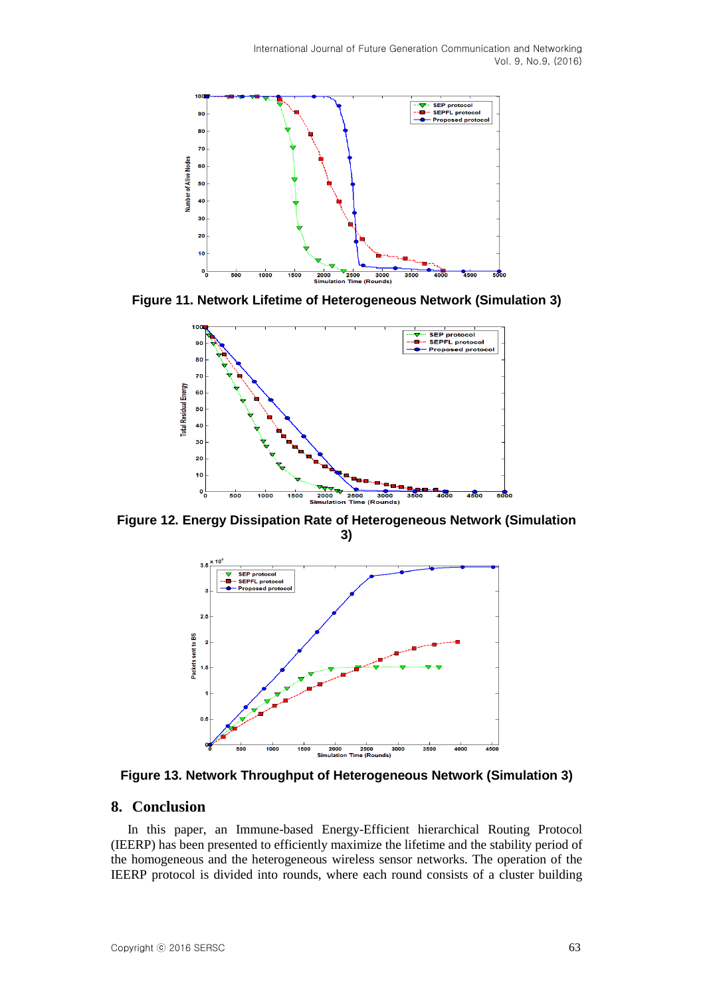

**Figure 11. Network Lifetime of Heterogeneous Network (Simulation 3)**



**Figure 12. Energy Dissipation Rate of Heterogeneous Network (Simulation 3)**



**Figure 13. Network Throughput of Heterogeneous Network (Simulation 3)**

#### **8. Conclusion**

In this paper, an Immune-based Energy-Efficient hierarchical Routing Protocol (IEERP) has been presented to efficiently maximize the lifetime and the stability period of the homogeneous and the heterogeneous wireless sensor networks. The operation of the IEERP protocol is divided into rounds, where each round consists of a cluster building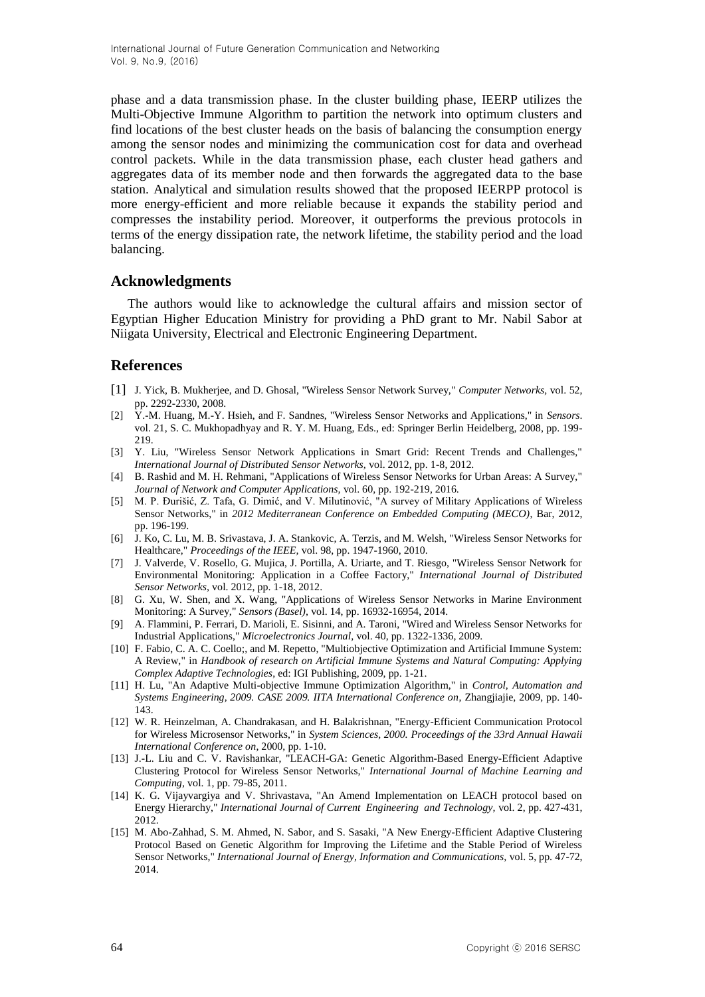phase and a data transmission phase. In the cluster building phase, IEERP utilizes the Multi-Objective Immune Algorithm to partition the network into optimum clusters and find locations of the best cluster heads on the basis of balancing the consumption energy among the sensor nodes and minimizing the communication cost for data and overhead control packets. While in the data transmission phase, each cluster head gathers and aggregates data of its member node and then forwards the aggregated data to the base station. Analytical and simulation results showed that the proposed IEERPP protocol is more energy-efficient and more reliable because it expands the stability period and compresses the instability period. Moreover, it outperforms the previous protocols in terms of the energy dissipation rate, the network lifetime, the stability period and the load balancing.

#### **Acknowledgments**

The authors would like to acknowledge the cultural affairs and mission sector of Egyptian Higher Education Ministry for providing a PhD grant to Mr. Nabil Sabor at Niigata University, Electrical and Electronic Engineering Department.

#### **References**

- <span id="page-17-0"></span>[1] J. Yick, B. Mukherjee, and D. Ghosal, "Wireless Sensor Network Survey," *Computer Networks,* vol. 52, pp. 2292-2330, 2008.
- <span id="page-17-1"></span>[2] Y.-M. Huang, M.-Y. Hsieh, and F. Sandnes, "Wireless Sensor Networks and Applications," in *Sensors*. vol. 21, S. C. Mukhopadhyay and R. Y. M. Huang, Eds., ed: Springer Berlin Heidelberg, 2008, pp. 199- 219.
- [3] Y. Liu, "Wireless Sensor Network Applications in Smart Grid: Recent Trends and Challenges," *International Journal of Distributed Sensor Networks,* vol. 2012, pp. 1-8, 2012.
- [4] B. Rashid and M. H. Rehmani, "Applications of Wireless Sensor Networks for Urban Areas: A Survey," *Journal of Network and Computer Applications,* vol. 60, pp. 192-219, 2016.
- [5] M. P. Đurišić, Z. Tafa, G. Dimić, and V. Milutinović, "A survey of Military Applications of Wireless Sensor Networks," in *2012 Mediterranean Conference on Embedded Computing (MECO)*, Bar, 2012, pp. 196-199.
- [6] J. Ko, C. Lu, M. B. Srivastava, J. A. Stankovic, A. Terzis, and M. Welsh, "Wireless Sensor Networks for Healthcare," *Proceedings of the IEEE,* vol. 98, pp. 1947-1960, 2010.
- [7] J. Valverde, V. Rosello, G. Mujica, J. Portilla, A. Uriarte, and T. Riesgo, "Wireless Sensor Network for Environmental Monitoring: Application in a Coffee Factory," *International Journal of Distributed Sensor Networks,* vol. 2012, pp. 1-18, 2012.
- [8] G. Xu, W. Shen, and X. Wang, "Applications of Wireless Sensor Networks in Marine Environment Monitoring: A Survey," *Sensors (Basel),* vol. 14, pp. 16932-16954, 2014.
- [9] A. Flammini, P. Ferrari, D. Marioli, E. Sisinni, and A. Taroni, "Wired and Wireless Sensor Networks for Industrial Applications," *Microelectronics Journal,* vol. 40, pp. 1322-1336, 2009.
- <span id="page-17-2"></span>[10] F. Fabio, C. A. C. Coello;, and M. Repetto, "Multiobjective Optimization and Artificial Immune System: A Review," in *Handbook of research on Artificial Immune Systems and Natural Computing: Applying Complex Adaptive Technologies*, ed: IGI Publishing, 2009, pp. 1-21.
- <span id="page-17-3"></span>[11] H. Lu, "An Adaptive Multi-objective Immune Optimization Algorithm," in *Control, Automation and Systems Engineering, 2009. CASE 2009. IITA International Conference on*, Zhangjiajie, 2009, pp. 140- 143.
- <span id="page-17-4"></span>[12] W. R. Heinzelman, A. Chandrakasan, and H. Balakrishnan, "Energy-Efficient Communication Protocol for Wireless Microsensor Networks," in *System Sciences, 2000. Proceedings of the 33rd Annual Hawaii International Conference on*, 2000, pp. 1-10.
- <span id="page-17-5"></span>[13] J.-L. Liu and C. V. Ravishankar, "LEACH-GA: Genetic Algorithm-Based Energy-Efficient Adaptive Clustering Protocol for Wireless Sensor Networks," *International Journal of Machine Learning and Computing,* vol. 1, pp. 79-85, 2011.
- <span id="page-17-6"></span>[14] K. G. Vijayvargiya and V. Shrivastava, "An Amend Implementation on LEACH protocol based on Energy Hierarchy," *International Journal of Current Engineering and Technology,* vol. 2, pp. 427-431, 2012.
- <span id="page-17-7"></span>[15] M. Abo-Zahhad, S. M. Ahmed, N. Sabor, and S. Sasaki, "A New Energy-Efficient Adaptive Clustering Protocol Based on Genetic Algorithm for Improving the Lifetime and the Stable Period of Wireless Sensor Networks," *International Journal of Energy, Information and Communications,* vol. 5, pp. 47-72, 2014.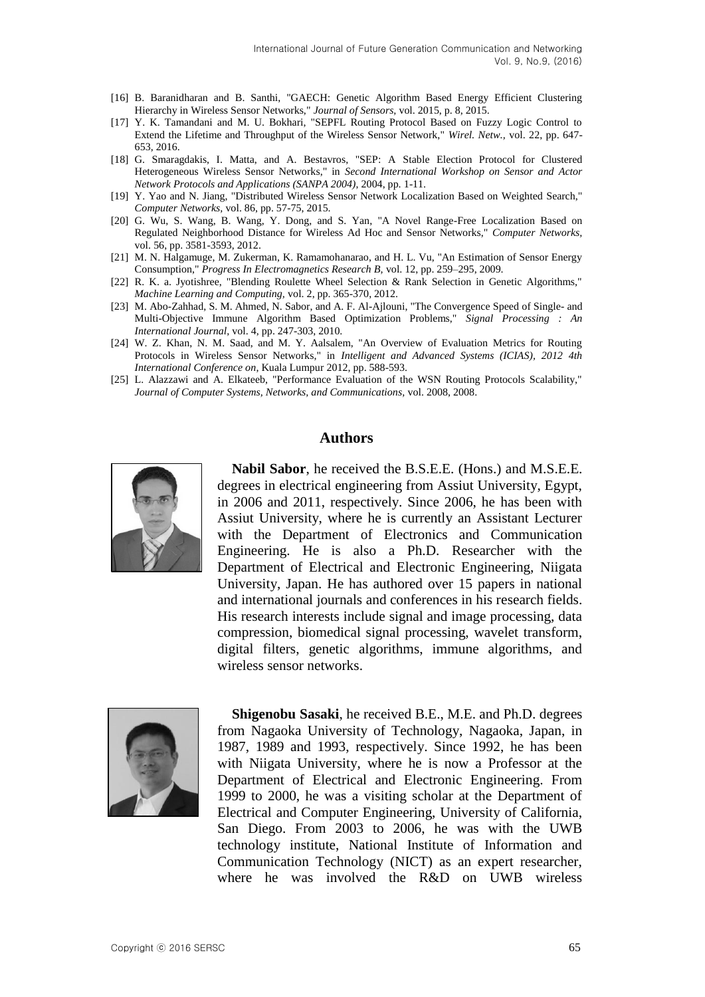- <span id="page-18-0"></span>[16] B. Baranidharan and B. Santhi, "GAECH: Genetic Algorithm Based Energy Efficient Clustering Hierarchy in Wireless Sensor Networks," *Journal of Sensors,* vol. 2015, p. 8, 2015.
- <span id="page-18-1"></span>[17] Y. K. Tamandani and M. U. Bokhari, "SEPFL Routing Protocol Based on Fuzzy Logic Control to Extend the Lifetime and Throughput of the Wireless Sensor Network," *Wirel. Netw.,* vol. 22, pp. 647- 653, 2016.
- <span id="page-18-2"></span>[18] G. Smaragdakis, I. Matta, and A. Bestavros, "SEP: A Stable Election Protocol for Clustered Heterogeneous Wireless Sensor Networks," in *Second International Workshop on Sensor and Actor Network Protocols and Applications (SANPA 2004)*, 2004, pp. 1-11.
- <span id="page-18-3"></span>[19] Y. Yao and N. Jiang, "Distributed Wireless Sensor Network Localization Based on Weighted Search," *Computer Networks,* vol. 86, pp. 57-75, 2015.
- <span id="page-18-4"></span>[20] G. Wu, S. Wang, B. Wang, Y. Dong, and S. Yan, "A Novel Range-Free Localization Based on Regulated Neighborhood Distance for Wireless Ad Hoc and Sensor Networks," *Computer Networks,*  vol. 56, pp. 3581-3593, 2012.
- <span id="page-18-5"></span>[21] M. N. Halgamuge, M. Zukerman, K. Ramamohanarao, and H. L. Vu, "An Estimation of Sensor Energy Consumption," *Progress In Electromagnetics Research B,* vol. 12, pp. 259–295, 2009.
- <span id="page-18-6"></span>[22] R. K. a. Jyotishree, "Blending Roulette Wheel Selection & Rank Selection in Genetic Algorithms," *Machine Learning and Computing,* vol. 2, pp. 365-370, 2012.
- <span id="page-18-7"></span>[23] M. Abo-Zahhad, S. M. Ahmed, N. Sabor, and A. F. Al-Ajlouni, "The Convergence Speed of Single- and Multi-Objective Immune Algorithm Based Optimization Problems," *Signal Processing : An International Journal,* vol. 4, pp. 247-303, 2010.
- <span id="page-18-8"></span>[24] W. Z. Khan, N. M. Saad, and M. Y. Aalsalem, "An Overview of Evaluation Metrics for Routing Protocols in Wireless Sensor Networks," in *Intelligent and Advanced Systems (ICIAS), 2012 4th International Conference on*, Kuala Lumpur 2012, pp. 588-593.
- <span id="page-18-9"></span>[25] L. Alazzawi and A. Elkateeb, "Performance Evaluation of the WSN Routing Protocols Scalability," *Journal of Computer Systems, Networks, and Communications,* vol. 2008, 2008.

#### **Authors**



**Nabil Sabor**, he received the B.S.E.E. (Hons.) and M.S.E.E. degrees in electrical engineering from Assiut University, Egypt, in 2006 and 2011, respectively. Since 2006, he has been with Assiut University, where he is currently an Assistant Lecturer with the Department of Electronics and Communication Engineering. He is also a Ph.D. Researcher with the Department of Electrical and Electronic Engineering, Niigata University, Japan. He has authored over 15 papers in national and international journals and conferences in his research fields. His research interests include signal and image processing, data compression, biomedical signal processing, wavelet transform, digital filters, genetic algorithms, immune algorithms, and wireless sensor networks.



**Shigenobu Sasaki**, he received B.E., M.E. and Ph.D. degrees from Nagaoka University of Technology, Nagaoka, Japan, in 1987, 1989 and 1993, respectively. Since 1992, he has been with Niigata University, where he is now a Professor at the Department of Electrical and Electronic Engineering. From 1999 to 2000, he was a visiting scholar at the Department of Electrical and Computer Engineering, University of California, San Diego. From 2003 to 2006, he was with the UWB technology institute, National Institute of Information and Communication Technology (NICT) as an expert researcher, where he was involved the R&D on UWB wireless